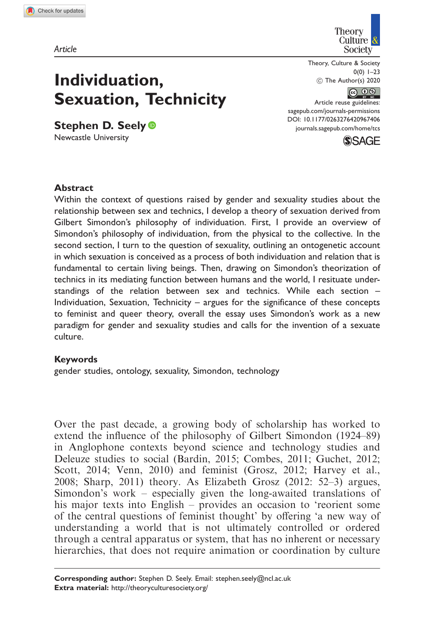Article

Individuation,

Stephen D. Seely<sup>®</sup> Newcastle University

Sexuation, Technicity



Theory, Culture & Society  $0(0)$  1–23 ! The Author(s) 2020

### $\circledcirc$   $\circledcirc$

Article reuse guidelines: [sagepub.com/journals-permissions](https://uk.sagepub.com/en-gb/journals-permissions) DOI: [10.1177/0263276420967406](https://doi.org/10.1177/0263276420967406) <journals.sagepub.com/home/tcs>



# **Abstract**

Within the context of questions raised by gender and sexuality studies about the relationship between sex and technics, I develop a theory of sexuation derived from Gilbert Simondon's philosophy of individuation. First, I provide an overview of Simondon's philosophy of individuation, from the physical to the collective. In the second section, I turn to the question of sexuality, outlining an ontogenetic account in which sexuation is conceived as a process of both individuation and relation that is fundamental to certain living beings. Then, drawing on Simondon's theorization of technics in its mediating function between humans and the world, I resituate understandings of the relation between sex and technics. While each section – Individuation, Sexuation, Technicity – argues for the significance of these concepts to feminist and queer theory, overall the essay uses Simondon's work as a new paradigm for gender and sexuality studies and calls for the invention of a sexuate culture.

#### Keywords

gender studies, ontology, sexuality, Simondon, technology

Over the past decade, a growing body of scholarship has worked to extend the influence of the philosophy of Gilbert Simondon (1924–89) in Anglophone contexts beyond science and technology studies and Deleuze studies to social (Bardin, 2015; Combes, 2011; Guchet, 2012; Scott, 2014; Venn, 2010) and feminist (Grosz, 2012; Harvey et al., 2008; Sharp, 2011) theory. As Elizabeth Grosz (2012: 52–3) argues, Simondon's work – especially given the long-awaited translations of his major texts into English – provides an occasion to 'reorient some of the central questions of feminist thought' by offering 'a new way of understanding a world that is not ultimately controlled or ordered through a central apparatus or system, that has no inherent or necessary hierarchies, that does not require animation or coordination by culture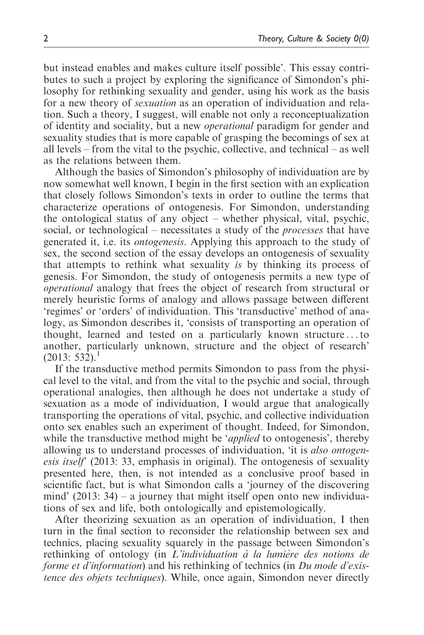but instead enables and makes culture itself possible'. This essay contributes to such a project by exploring the significance of Simondon's philosophy for rethinking sexuality and gender, using his work as the basis for a new theory of sexuation as an operation of individuation and relation. Such a theory, I suggest, will enable not only a reconceptualization of identity and sociality, but a new operational paradigm for gender and sexuality studies that is more capable of grasping the becomings of sex at all levels – from the vital to the psychic, collective, and technical – as well as the relations between them.

Although the basics of Simondon's philosophy of individuation are by now somewhat well known, I begin in the first section with an explication that closely follows Simondon's texts in order to outline the terms that characterize operations of ontogenesis. For Simondon, understanding the ontological status of any object – whether physical, vital, psychic, social, or technological – necessitates a study of the processes that have generated it, i.e. its ontogenesis. Applying this approach to the study of sex, the second section of the essay develops an ontogenesis of sexuality that attempts to rethink what sexuality is by thinking its process of genesis. For Simondon, the study of ontogenesis permits a new type of operational analogy that frees the object of research from structural or merely heuristic forms of analogy and allows passage between different 'regimes' or 'orders' of individuation. This 'transductive' method of analogy, as Simondon describes it, 'consists of transporting an operation of thought, learned and tested on a particularly known structure ... to another, particularly unknown, structure and the object of research'  $(2013: 532).<sup>1</sup>$ 

If the transductive method permits Simondon to pass from the physical level to the vital, and from the vital to the psychic and social, through operational analogies, then although he does not undertake a study of sexuation as a mode of individuation, I would argue that analogically transporting the operations of vital, psychic, and collective individuation onto sex enables such an experiment of thought. Indeed, for Simondon, while the transductive method might be '*applied* to ontogenesis', thereby allowing us to understand processes of individuation, 'it is also ontogenesis itself' (2013: 33, emphasis in original). The ontogenesis of sexuality presented here, then, is not intended as a conclusive proof based in scientific fact, but is what Simondon calls a 'journey of the discovering mind'  $(2013: 34)$  – a journey that might itself open onto new individuations of sex and life, both ontologically and epistemologically.

After theorizing sexuation as an operation of individuation, I then turn in the final section to reconsider the relationship between sex and technics, placing sexuality squarely in the passage between Simondon's rethinking of ontology (in  $L'individuation$   $\hat{a}$  la lumière des notions de forme et d'information) and his rethinking of technics (in Du mode d'existence des objets techniques). While, once again, Simondon never directly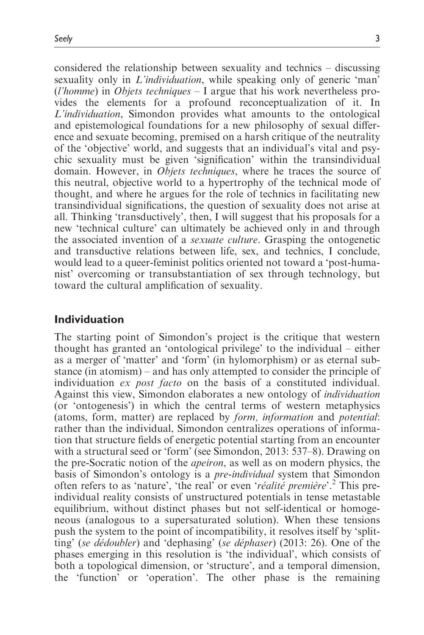considered the relationship between sexuality and technics – discussing sexuality only in *L'individuation*, while speaking only of generic 'man' (*l'homme*) in *Objets techniques*  $-1$  argue that his work nevertheless provides the elements for a profound reconceptualization of it. In L'individuation, Simondon provides what amounts to the ontological and epistemological foundations for a new philosophy of sexual difference and sexuate becoming, premised on a harsh critique of the neutrality of the 'objective' world, and suggests that an individual's vital and psychic sexuality must be given 'signification' within the transindividual domain. However, in *Objets techniques*, where he traces the source of this neutral, objective world to a hypertrophy of the technical mode of thought, and where he argues for the role of technics in facilitating new transindividual significations, the question of sexuality does not arise at all. Thinking 'transductively', then, I will suggest that his proposals for a new 'technical culture' can ultimately be achieved only in and through the associated invention of a sexuate culture. Grasping the ontogenetic and transductive relations between life, sex, and technics, I conclude, would lead to a queer-feminist politics oriented not toward a 'post-humanist' overcoming or transubstantiation of sex through technology, but toward the cultural amplification of sexuality.

### Individuation

The starting point of Simondon's project is the critique that western thought has granted an 'ontological privilege' to the individual – either as a merger of 'matter' and 'form' (in hylomorphism) or as eternal substance (in atomism) – and has only attempted to consider the principle of individuation ex post facto on the basis of a constituted individual. Against this view, Simondon elaborates a new ontology of individuation (or 'ontogenesis') in which the central terms of western metaphysics (atoms, form, matter) are replaced by form, information and potential: rather than the individual, Simondon centralizes operations of information that structure fields of energetic potential starting from an encounter with a structural seed or 'form' (see Simondon, 2013: 537–8). Drawing on the pre-Socratic notion of the apeiron, as well as on modern physics, the basis of Simondon's ontology is a *pre-individual* system that Simondon often refers to as 'nature', 'the real' or even 'réalité première'.<sup>2</sup> This preindividual reality consists of unstructured potentials in tense metastable equilibrium, without distinct phases but not self-identical or homogeneous (analogous to a supersaturated solution). When these tensions push the system to the point of incompatibility, it resolves itself by 'splitting' (se dédoubler) and 'dephasing' (se déphaser) (2013: 26). One of the phases emerging in this resolution is 'the individual', which consists of both a topological dimension, or 'structure', and a temporal dimension, the 'function' or 'operation'. The other phase is the remaining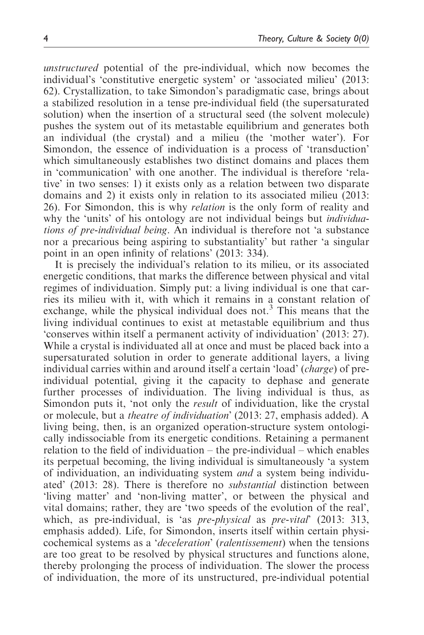unstructured potential of the pre-individual, which now becomes the individual's 'constitutive energetic system' or 'associated milieu' (2013: 62). Crystallization, to take Simondon's paradigmatic case, brings about a stabilized resolution in a tense pre-individual field (the supersaturated solution) when the insertion of a structural seed (the solvent molecule) pushes the system out of its metastable equilibrium and generates both an individual (the crystal) and a milieu (the 'mother water'). For Simondon, the essence of individuation is a process of 'transduction' which simultaneously establishes two distinct domains and places them in 'communication' with one another. The individual is therefore 'relative' in two senses: 1) it exists only as a relation between two disparate domains and 2) it exists only in relation to its associated milieu (2013: 26). For Simondon, this is why relation is the only form of reality and why the 'units' of his ontology are not individual beings but *individua*tions of pre-individual being. An individual is therefore not 'a substance nor a precarious being aspiring to substantiality' but rather 'a singular point in an open infinity of relations' (2013: 334).

It is precisely the individual's relation to its milieu, or its associated energetic conditions, that marks the difference between physical and vital regimes of individuation. Simply put: a living individual is one that carries its milieu with it, with which it remains in a constant relation of exchange, while the physical individual does not.<sup>3</sup> This means that the living individual continues to exist at metastable equilibrium and thus 'conserves within itself a permanent activity of individuation' (2013: 27). While a crystal is individuated all at once and must be placed back into a supersaturated solution in order to generate additional layers, a living individual carries within and around itself a certain 'load' (charge) of preindividual potential, giving it the capacity to dephase and generate further processes of individuation. The living individual is thus, as Simondon puts it, 'not only the result of individuation, like the crystal or molecule, but a theatre of individuation' (2013: 27, emphasis added). A living being, then, is an organized operation-structure system ontologically indissociable from its energetic conditions. Retaining a permanent relation to the field of individuation – the pre-individual – which enables its perpetual becoming, the living individual is simultaneously 'a system of individuation, an individuating system and a system being individuated' (2013: 28). There is therefore no substantial distinction between 'living matter' and 'non-living matter', or between the physical and vital domains; rather, they are 'two speeds of the evolution of the real', which, as pre-individual, is 'as *pre-physical* as *pre-vital*' (2013: 313, emphasis added). Life, for Simondon, inserts itself within certain physicochemical systems as a 'deceleration' (ralentissement) when the tensions are too great to be resolved by physical structures and functions alone, thereby prolonging the process of individuation. The slower the process of individuation, the more of its unstructured, pre-individual potential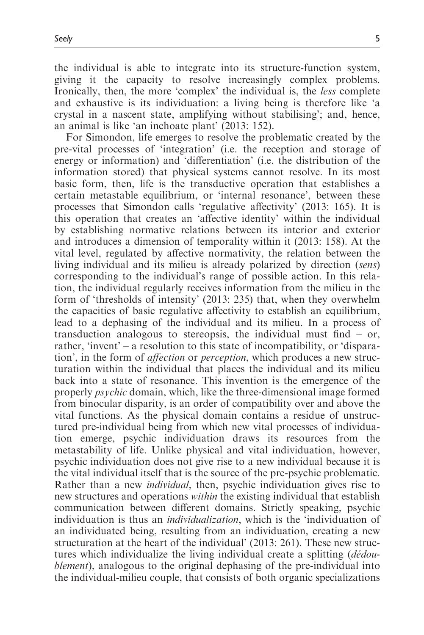the individual is able to integrate into its structure-function system, giving it the capacity to resolve increasingly complex problems. Ironically, then, the more 'complex' the individual is, the less complete and exhaustive is its individuation: a living being is therefore like 'a crystal in a nascent state, amplifying without stabilising'; and, hence, an animal is like 'an inchoate plant' (2013: 152).

For Simondon, life emerges to resolve the problematic created by the pre-vital processes of 'integration' (i.e. the reception and storage of energy or information) and 'differentiation' (i.e. the distribution of the information stored) that physical systems cannot resolve. In its most basic form, then, life is the transductive operation that establishes a certain metastable equilibrium, or 'internal resonance', between these processes that Simondon calls 'regulative affectivity' (2013: 165). It is this operation that creates an 'affective identity' within the individual by establishing normative relations between its interior and exterior and introduces a dimension of temporality within it (2013: 158). At the vital level, regulated by affective normativity, the relation between the living individual and its milieu is already polarized by direction (sens) corresponding to the individual's range of possible action. In this relation, the individual regularly receives information from the milieu in the form of 'thresholds of intensity' (2013: 235) that, when they overwhelm the capacities of basic regulative affectivity to establish an equilibrium, lead to a dephasing of the individual and its milieu. In a process of transduction analogous to stereopsis, the individual must find – or, rather, 'invent' – a resolution to this state of incompatibility, or 'disparation', in the form of affection or perception, which produces a new structuration within the individual that places the individual and its milieu back into a state of resonance. This invention is the emergence of the properly psychic domain, which, like the three-dimensional image formed from binocular disparity, is an order of compatibility over and above the vital functions. As the physical domain contains a residue of unstructured pre-individual being from which new vital processes of individuation emerge, psychic individuation draws its resources from the metastability of life. Unlike physical and vital individuation, however, psychic individuation does not give rise to a new individual because it is the vital individual itself that is the source of the pre-psychic problematic. Rather than a new *individual*, then, psychic individuation gives rise to new structures and operations within the existing individual that establish communication between different domains. Strictly speaking, psychic individuation is thus an individualization, which is the 'individuation of an individuated being, resulting from an individuation, creating a new structuration at the heart of the individual' (2013: 261). These new structures which individualize the living individual create a splitting (*dédou*blement), analogous to the original dephasing of the pre-individual into the individual-milieu couple, that consists of both organic specializations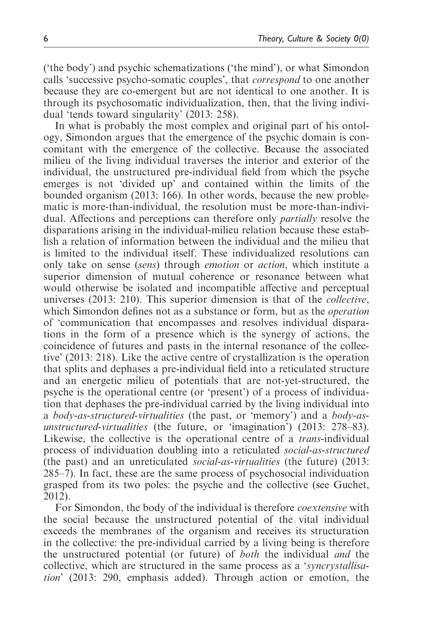('the body') and psychic schematizations ('the mind'), or what Simondon calls 'successive psycho-somatic couples', that correspond to one another because they are co-emergent but are not identical to one another. It is through its psychosomatic individualization, then, that the living individual 'tends toward singularity' (2013: 258).

In what is probably the most complex and original part of his ontology, Simondon argues that the emergence of the psychic domain is concomitant with the emergence of the collective. Because the associated milieu of the living individual traverses the interior and exterior of the individual, the unstructured pre-individual field from which the psyche emerges is not 'divided up' and contained within the limits of the bounded organism (2013: 166). In other words, because the new problematic is more-than-individual, the resolution must be more-than-individual. Affections and perceptions can therefore only partially resolve the disparations arising in the individual-milieu relation because these establish a relation of information between the individual and the milieu that is limited to the individual itself. These individualized resolutions can only take on sense (sens) through emotion or action, which institute a superior dimension of mutual coherence or resonance between what would otherwise be isolated and incompatible affective and perceptual universes (2013: 210). This superior dimension is that of the collective, which Simondon defines not as a substance or form, but as the operation of 'communication that encompasses and resolves individual disparations in the form of a presence which is the synergy of actions, the coincidence of futures and pasts in the internal resonance of the collective' (2013: 218). Like the active centre of crystallization is the operation that splits and dephases a pre-individual field into a reticulated structure and an energetic milieu of potentials that are not-yet-structured, the psyche is the operational centre (or 'present') of a process of individuation that dephases the pre-individual carried by the living individual into a body-as-structured-virtualities (the past, or 'memory') and a body-asunstructured-virtualities (the future, or 'imagination') (2013: 278–83). Likewise, the collective is the operational centre of a *trans*-individual process of individuation doubling into a reticulated social-as-structured (the past) and an unreticulated social-as-virtualities (the future) (2013: 285–7). In fact, these are the same process of psychosocial individuation grasped from its two poles: the psyche and the collective (see Guchet, 2012).

For Simondon, the body of the individual is therefore *coextensive* with the social because the unstructured potential of the vital individual exceeds the membranes of the organism and receives its structuration in the collective: the pre-individual carried by a living being is therefore the unstructured potential (or future) of both the individual and the collective, which are structured in the same process as a 'syncrystallisation' (2013: 290, emphasis added). Through action or emotion, the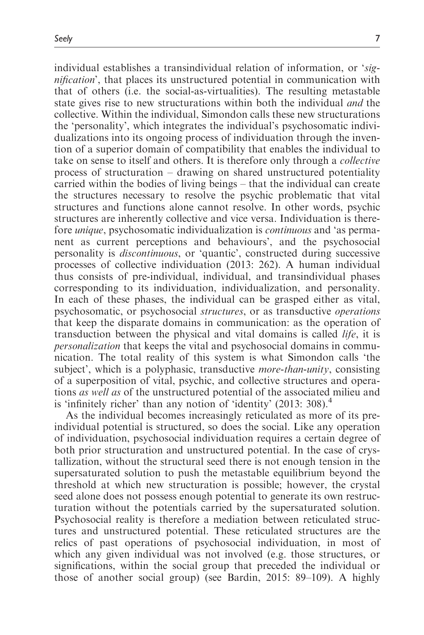individual establishes a transindividual relation of information, or 'signification', that places its unstructured potential in communication with that of others (i.e. the social-as-virtualities). The resulting metastable state gives rise to new structurations within both the individual *and* the collective. Within the individual, Simondon calls these new structurations the 'personality', which integrates the individual's psychosomatic individualizations into its ongoing process of individuation through the invention of a superior domain of compatibility that enables the individual to take on sense to itself and others. It is therefore only through a collective process of structuration – drawing on shared unstructured potentiality carried within the bodies of living beings – that the individual can create the structures necessary to resolve the psychic problematic that vital structures and functions alone cannot resolve. In other words, psychic structures are inherently collective and vice versa. Individuation is therefore *unique*, psychosomatic individualization is *continuous* and 'as permanent as current perceptions and behaviours', and the psychosocial personality is discontinuous, or 'quantic', constructed during successive processes of collective individuation (2013: 262). A human individual thus consists of pre-individual, individual, and transindividual phases corresponding to its individuation, individualization, and personality. In each of these phases, the individual can be grasped either as vital, psychosomatic, or psychosocial structures, or as transductive operations that keep the disparate domains in communication: as the operation of transduction between the physical and vital domains is called life, it is personalization that keeps the vital and psychosocial domains in communication. The total reality of this system is what Simondon calls 'the subject', which is a polyphasic, transductive *more-than-unity*, consisting of a superposition of vital, psychic, and collective structures and operations as well as of the unstructured potential of the associated milieu and is 'infinitely richer' than any notion of 'identity'  $(2013:308).$ <sup>4</sup>

As the individual becomes increasingly reticulated as more of its preindividual potential is structured, so does the social. Like any operation of individuation, psychosocial individuation requires a certain degree of both prior structuration and unstructured potential. In the case of crystallization, without the structural seed there is not enough tension in the supersaturated solution to push the metastable equilibrium beyond the threshold at which new structuration is possible; however, the crystal seed alone does not possess enough potential to generate its own restructuration without the potentials carried by the supersaturated solution. Psychosocial reality is therefore a mediation between reticulated structures and unstructured potential. These reticulated structures are the relics of past operations of psychosocial individuation, in most of which any given individual was not involved (e.g. those structures, or significations, within the social group that preceded the individual or those of another social group) (see Bardin, 2015: 89–109). A highly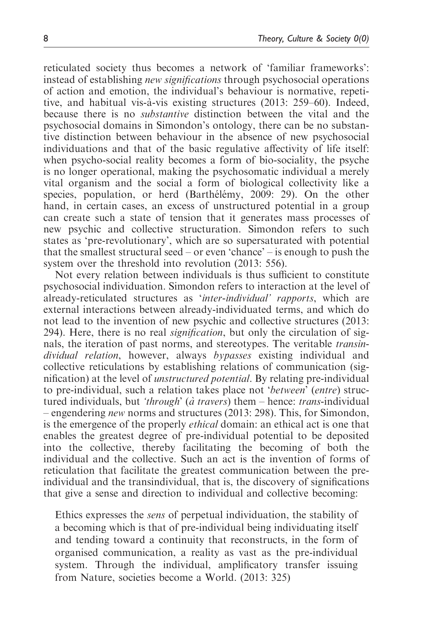reticulated society thus becomes a network of 'familiar frameworks': instead of establishing new significations through psychosocial operations of action and emotion, the individual's behaviour is normative, repetitive, and habitual vis-a`-vis existing structures (2013: 259–60). Indeed, because there is no substantive distinction between the vital and the psychosocial domains in Simondon's ontology, there can be no substantive distinction between behaviour in the absence of new psychosocial individuations and that of the basic regulative affectivity of life itself: when psycho-social reality becomes a form of bio-sociality, the psyche is no longer operational, making the psychosomatic individual a merely vital organism and the social a form of biological collectivity like a species, population, or herd (Barthélémy, 2009: 29). On the other hand, in certain cases, an excess of unstructured potential in a group can create such a state of tension that it generates mass processes of new psychic and collective structuration. Simondon refers to such states as 'pre-revolutionary', which are so supersaturated with potential that the smallest structural seed – or even 'chance' – is enough to push the system over the threshold into revolution (2013: 556).

Not every relation between individuals is thus sufficient to constitute psychosocial individuation. Simondon refers to interaction at the level of already-reticulated structures as 'inter-individual' rapports, which are external interactions between already-individuated terms, and which do not lead to the invention of new psychic and collective structures (2013: 294). Here, there is no real signification, but only the circulation of signals, the iteration of past norms, and stereotypes. The veritable transindividual relation, however, always bypasses existing individual and collective reticulations by establishing relations of communication (signification) at the level of unstructured potential. By relating pre-individual to pre-individual, such a relation takes place not 'between' (entre) structured individuals, but *'through' (a` travers*) them – hence: *trans*-individual – engendering *new* norms and structures (2013: 298). This, for Simondon, is the emergence of the properly ethical domain: an ethical act is one that enables the greatest degree of pre-individual potential to be deposited into the collective, thereby facilitating the becoming of both the individual and the collective. Such an act is the invention of forms of reticulation that facilitate the greatest communication between the preindividual and the transindividual, that is, the discovery of significations that give a sense and direction to individual and collective becoming:

Ethics expresses the sens of perpetual individuation, the stability of a becoming which is that of pre-individual being individuating itself and tending toward a continuity that reconstructs, in the form of organised communication, a reality as vast as the pre-individual system. Through the individual, amplificatory transfer issuing from Nature, societies become a World. (2013: 325)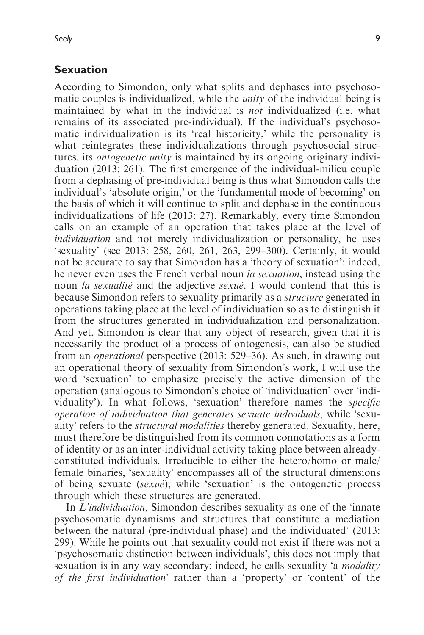### Sexuation

According to Simondon, only what splits and dephases into psychosomatic couples is individualized, while the *unity* of the individual being is maintained by what in the individual is not individualized (i.e. what remains of its associated pre-individual). If the individual's psychosomatic individualization is its 'real historicity,' while the personality is what reintegrates these individualizations through psychosocial structures, its ontogenetic unity is maintained by its ongoing originary individuation (2013: 261). The first emergence of the individual-milieu couple from a dephasing of pre-individual being is thus what Simondon calls the individual's 'absolute origin,' or the 'fundamental mode of becoming' on the basis of which it will continue to split and dephase in the continuous individualizations of life (2013: 27). Remarkably, every time Simondon calls on an example of an operation that takes place at the level of individuation and not merely individualization or personality, he uses 'sexuality' (see 2013: 258, 260, 261, 263, 299–300). Certainly, it would not be accurate to say that Simondon has a 'theory of sexuation': indeed, he never even uses the French verbal noun *la sexuation*, instead using the noun *la sexualité* and the adjective *sexué*. I would contend that this is because Simondon refers to sexuality primarily as a structure generated in operations taking place at the level of individuation so as to distinguish it from the structures generated in individualization and personalization. And yet, Simondon is clear that any object of research, given that it is necessarily the product of a process of ontogenesis, can also be studied from an operational perspective (2013: 529–36). As such, in drawing out an operational theory of sexuality from Simondon's work, I will use the word 'sexuation' to emphasize precisely the active dimension of the operation (analogous to Simondon's choice of 'individuation' over 'individuality'). In what follows, 'sexuation' therefore names the specific operation of individuation that generates sexuate individuals, while 'sexuality' refers to the structural modalities thereby generated. Sexuality, here, must therefore be distinguished from its common connotations as a form of identity or as an inter-individual activity taking place between alreadyconstituted individuals. Irreducible to either the hetero/homo or male/ female binaries, 'sexuality' encompasses all of the structural dimensions of being sexuate (sexue), while 'sexuation' is the ontogenetic process through which these structures are generated.

In L'individuation, Simondon describes sexuality as one of the 'innate psychosomatic dynamisms and structures that constitute a mediation between the natural (pre-individual phase) and the individuated' (2013: 299). While he points out that sexuality could not exist if there was not a 'psychosomatic distinction between individuals', this does not imply that sexuation is in any way secondary: indeed, he calls sexuality 'a *modality* of the first individuation' rather than a 'property' or 'content' of the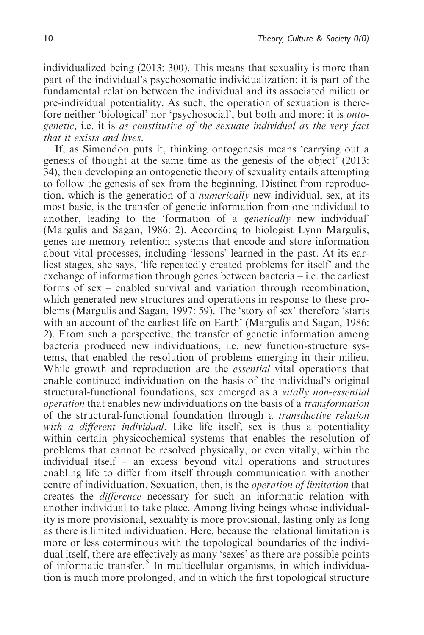individualized being (2013: 300). This means that sexuality is more than part of the individual's psychosomatic individualization: it is part of the fundamental relation between the individual and its associated milieu or pre-individual potentiality. As such, the operation of sexuation is therefore neither 'biological' nor 'psychosocial', but both and more: it is ontogenetic, i.e. it is as constitutive of the sexuate individual as the very fact that it exists and lives.

If, as Simondon puts it, thinking ontogenesis means 'carrying out a genesis of thought at the same time as the genesis of the object' (2013: 34), then developing an ontogenetic theory of sexuality entails attempting to follow the genesis of sex from the beginning. Distinct from reproduction, which is the generation of a numerically new individual, sex, at its most basic, is the transfer of genetic information from one individual to another, leading to the 'formation of a genetically new individual' (Margulis and Sagan, 1986: 2). According to biologist Lynn Margulis, genes are memory retention systems that encode and store information about vital processes, including 'lessons' learned in the past. At its earliest stages, she says, 'life repeatedly created problems for itself' and the exchange of information through genes between bacteria – i.e. the earliest forms of sex – enabled survival and variation through recombination, which generated new structures and operations in response to these problems (Margulis and Sagan, 1997: 59). The 'story of sex' therefore 'starts with an account of the earliest life on Earth' (Margulis and Sagan, 1986: 2). From such a perspective, the transfer of genetic information among bacteria produced new individuations, i.e. new function-structure systems, that enabled the resolution of problems emerging in their milieu. While growth and reproduction are the *essential* vital operations that enable continued individuation on the basis of the individual's original structural-functional foundations, sex emerged as a vitally non-essential operation that enables new individuations on the basis of a transformation of the structural-functional foundation through a transductive relation with a different individual. Like life itself, sex is thus a potentiality within certain physicochemical systems that enables the resolution of problems that cannot be resolved physically, or even vitally, within the individual itself – an excess beyond vital operations and structures enabling life to differ from itself through communication with another centre of individuation. Sexuation, then, is the operation of limitation that creates the difference necessary for such an informatic relation with another individual to take place. Among living beings whose individuality is more provisional, sexuality is more provisional, lasting only as long as there is limited individuation. Here, because the relational limitation is more or less coterminous with the topological boundaries of the individual itself, there are effectively as many 'sexes' as there are possible points of informatic transfer.<sup>5</sup> In multicellular organisms, in which individuation is much more prolonged, and in which the first topological structure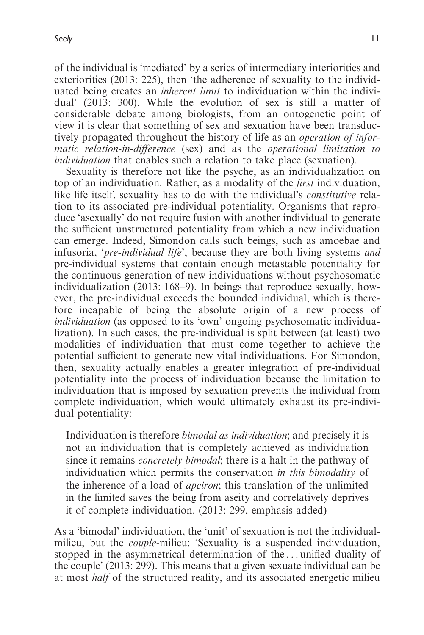of the individual is 'mediated' by a series of intermediary interiorities and exteriorities (2013: 225), then 'the adherence of sexuality to the individuated being creates an inherent limit to individuation within the individual' (2013: 300). While the evolution of sex is still a matter of considerable debate among biologists, from an ontogenetic point of view it is clear that something of sex and sexuation have been transductively propagated throughout the history of life as an operation of informatic relation-in-difference (sex) and as the operational limitation to individuation that enables such a relation to take place (sexuation).

Sexuality is therefore not like the psyche, as an individualization on top of an individuation. Rather, as a modality of the first individuation, like life itself, sexuality has to do with the individual's constitutive relation to its associated pre-individual potentiality. Organisms that reproduce 'asexually' do not require fusion with another individual to generate the sufficient unstructured potentiality from which a new individuation can emerge. Indeed, Simondon calls such beings, such as amoebae and infusoria, 'pre-individual life', because they are both living systems and pre-individual systems that contain enough metastable potentiality for the continuous generation of new individuations without psychosomatic individualization (2013: 168–9). In beings that reproduce sexually, however, the pre-individual exceeds the bounded individual, which is therefore incapable of being the absolute origin of a new process of individuation (as opposed to its 'own' ongoing psychosomatic individualization). In such cases, the pre-individual is split between (at least) two modalities of individuation that must come together to achieve the potential sufficient to generate new vital individuations. For Simondon, then, sexuality actually enables a greater integration of pre-individual potentiality into the process of individuation because the limitation to individuation that is imposed by sexuation prevents the individual from complete individuation, which would ultimately exhaust its pre-individual potentiality:

Individuation is therefore *bimodal as individuation*; and precisely it is not an individuation that is completely achieved as individuation since it remains *concretely bimodal*; there is a halt in the pathway of individuation which permits the conservation in this bimodality of the inherence of a load of apeiron; this translation of the unlimited in the limited saves the being from aseity and correlatively deprives it of complete individuation. (2013: 299, emphasis added)

As a 'bimodal' individuation, the 'unit' of sexuation is not the individualmilieu, but the couple-milieu: 'Sexuality is a suspended individuation, stopped in the asymmetrical determination of the ... unified duality of the couple' (2013: 299). This means that a given sexuate individual can be at most half of the structured reality, and its associated energetic milieu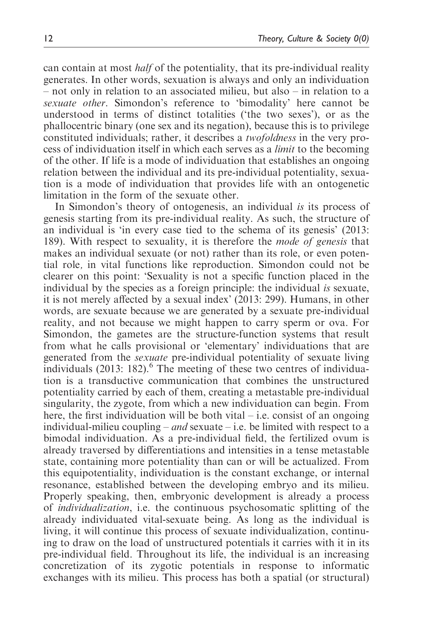can contain at most half of the potentiality, that its pre-individual reality generates. In other words, sexuation is always and only an individuation

– not only in relation to an associated milieu, but also – in relation to a sexuate other. Simondon's reference to 'bimodality' here cannot be understood in terms of distinct totalities ('the two sexes'), or as the phallocentric binary (one sex and its negation), because this is to privilege constituted individuals; rather, it describes a twofoldness in the very process of individuation itself in which each serves as a limit to the becoming of the other. If life is a mode of individuation that establishes an ongoing relation between the individual and its pre-individual potentiality, sexuation is a mode of individuation that provides life with an ontogenetic limitation in the form of the sexuate other.

In Simondon's theory of ontogenesis, an individual is its process of genesis starting from its pre-individual reality. As such, the structure of an individual is 'in every case tied to the schema of its genesis' (2013: 189). With respect to sexuality, it is therefore the mode of genesis that makes an individual sexuate (or not) rather than its role, or even potential role, in vital functions like reproduction. Simondon could not be clearer on this point: 'Sexuality is not a specific function placed in the individual by the species as a foreign principle: the individual is sexuate, it is not merely affected by a sexual index' (2013: 299). Humans, in other words, are sexuate because we are generated by a sexuate pre-individual reality, and not because we might happen to carry sperm or ova. For Simondon, the gametes are the structure-function systems that result from what he calls provisional or 'elementary' individuations that are generated from the sexuate pre-individual potentiality of sexuate living individuals  $(2013: 182)$ <sup>6</sup>. The meeting of these two centres of individuation is a transductive communication that combines the unstructured potentiality carried by each of them, creating a metastable pre-individual singularity, the zygote, from which a new individuation can begin. From here, the first individuation will be both vital  $-$  i.e. consist of an ongoing individual-milieu coupling – and sexuate – i.e. be limited with respect to a bimodal individuation. As a pre-individual field, the fertilized ovum is already traversed by differentiations and intensities in a tense metastable state, containing more potentiality than can or will be actualized. From this equipotentiality, individuation is the constant exchange, or internal resonance, established between the developing embryo and its milieu. Properly speaking, then, embryonic development is already a process of individualization, i.e. the continuous psychosomatic splitting of the already individuated vital-sexuate being. As long as the individual is living, it will continue this process of sexuate individualization, continuing to draw on the load of unstructured potentials it carries with it in its pre-individual field. Throughout its life, the individual is an increasing concretization of its zygotic potentials in response to informatic exchanges with its milieu. This process has both a spatial (or structural)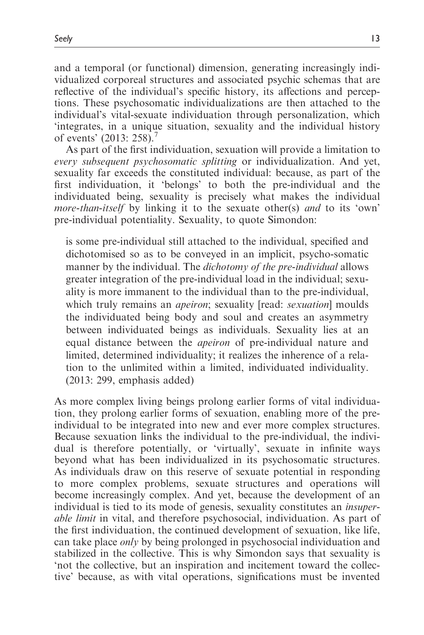and a temporal (or functional) dimension, generating increasingly individualized corporeal structures and associated psychic schemas that are reflective of the individual's specific history, its affections and perceptions. These psychosomatic individualizations are then attached to the individual's vital-sexuate individuation through personalization, which 'integrates, in a unique situation, sexuality and the individual history of events' (2013: 258).<sup>7</sup>

As part of the first individuation, sexuation will provide a limitation to every subsequent psychosomatic splitting or individualization. And yet, sexuality far exceeds the constituted individual: because, as part of the first individuation, it 'belongs' to both the pre-individual and the individuated being, sexuality is precisely what makes the individual more-than-itself by linking it to the sexuate other(s) and to its 'own' pre-individual potentiality. Sexuality, to quote Simondon:

is some pre-individual still attached to the individual, specified and dichotomised so as to be conveyed in an implicit, psycho-somatic manner by the individual. The *dichotomy of the pre-individual* allows greater integration of the pre-individual load in the individual; sexuality is more immanent to the individual than to the pre-individual, which truly remains an *apeiron*; sexuality [read: *sexuation*] moulds the individuated being body and soul and creates an asymmetry between individuated beings as individuals. Sexuality lies at an equal distance between the apeiron of pre-individual nature and limited, determined individuality; it realizes the inherence of a relation to the unlimited within a limited, individuated individuality. (2013: 299, emphasis added)

As more complex living beings prolong earlier forms of vital individuation, they prolong earlier forms of sexuation, enabling more of the preindividual to be integrated into new and ever more complex structures. Because sexuation links the individual to the pre-individual, the individual is therefore potentially, or 'virtually', sexuate in infinite ways beyond what has been individualized in its psychosomatic structures. As individuals draw on this reserve of sexuate potential in responding to more complex problems, sexuate structures and operations will become increasingly complex. And yet, because the development of an individual is tied to its mode of genesis, sexuality constitutes an insuperable limit in vital, and therefore psychosocial, individuation. As part of the first individuation, the continued development of sexuation, like life, can take place only by being prolonged in psychosocial individuation and stabilized in the collective. This is why Simondon says that sexuality is 'not the collective, but an inspiration and incitement toward the collective' because, as with vital operations, significations must be invented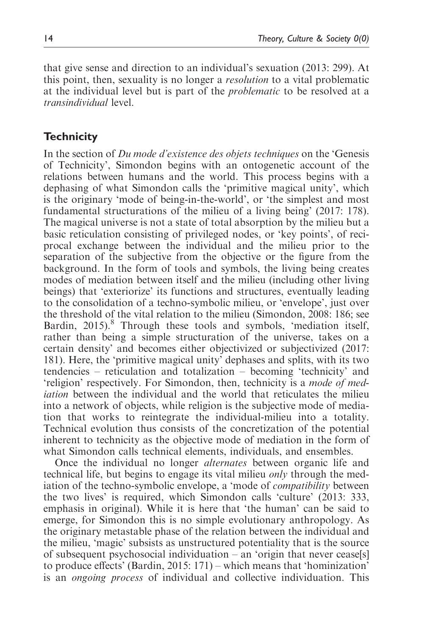that give sense and direction to an individual's sexuation (2013: 299). At this point, then, sexuality is no longer a resolution to a vital problematic at the individual level but is part of the problematic to be resolved at a transindividual level.

## **Technicity**

In the section of Du mode d'existence des objets techniques on the 'Genesis' of Technicity', Simondon begins with an ontogenetic account of the relations between humans and the world. This process begins with a dephasing of what Simondon calls the 'primitive magical unity', which is the originary 'mode of being-in-the-world', or 'the simplest and most fundamental structurations of the milieu of a living being' (2017: 178). The magical universe is not a state of total absorption by the milieu but a basic reticulation consisting of privileged nodes, or 'key points', of reciprocal exchange between the individual and the milieu prior to the separation of the subjective from the objective or the figure from the background. In the form of tools and symbols, the living being creates modes of mediation between itself and the milieu (including other living beings) that 'exteriorize' its functions and structures, eventually leading to the consolidation of a techno-symbolic milieu, or 'envelope', just over the threshold of the vital relation to the milieu (Simondon, 2008: 186; see Bardin, 2015).<sup>8</sup> Through these tools and symbols, 'mediation itself, rather than being a simple structuration of the universe, takes on a certain density' and becomes either objectivized or subjectivized (2017: 181). Here, the 'primitive magical unity' dephases and splits, with its two tendencies – reticulation and totalization – becoming 'technicity' and 'religion' respectively. For Simondon, then, technicity is a mode of mediation between the individual and the world that reticulates the milieu into a network of objects, while religion is the subjective mode of mediation that works to reintegrate the individual-milieu into a totality. Technical evolution thus consists of the concretization of the potential inherent to technicity as the objective mode of mediation in the form of what Simondon calls technical elements, individuals, and ensembles.

Once the individual no longer alternates between organic life and technical life, but begins to engage its vital milieu only through the mediation of the techno-symbolic envelope, a 'mode of compatibility between the two lives' is required, which Simondon calls 'culture' (2013: 333, emphasis in original). While it is here that 'the human' can be said to emerge, for Simondon this is no simple evolutionary anthropology. As the originary metastable phase of the relation between the individual and the milieu, 'magic' subsists as unstructured potentiality that is the source of subsequent psychosocial individuation – an 'origin that never cease[s] to produce effects' (Bardin, 2015: 171) – which means that 'hominization' is an *ongoing process* of individual and collective individuation. This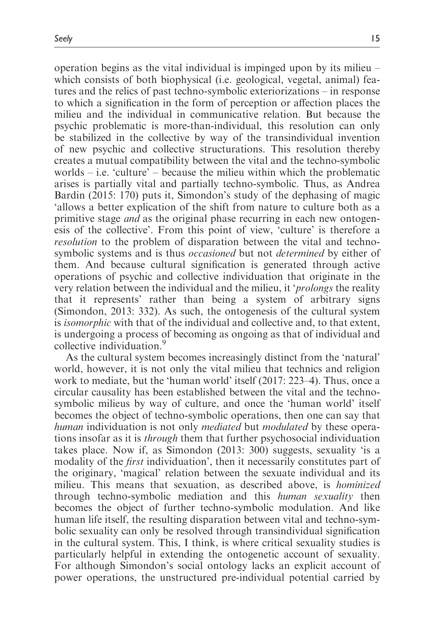operation begins as the vital individual is impinged upon by its milieu – which consists of both biophysical (i.e. geological, vegetal, animal) features and the relics of past techno-symbolic exteriorizations – in response to which a signification in the form of perception or affection places the milieu and the individual in communicative relation. But because the psychic problematic is more-than-individual, this resolution can only be stabilized in the collective by way of the transindividual invention of new psychic and collective structurations. This resolution thereby creates a mutual compatibility between the vital and the techno-symbolic worlds – i.e. 'culture' – because the milieu within which the problematic arises is partially vital and partially techno-symbolic. Thus, as Andrea Bardin (2015: 170) puts it, Simondon's study of the dephasing of magic 'allows a better explication of the shift from nature to culture both as a primitive stage and as the original phase recurring in each new ontogenesis of the collective'. From this point of view, 'culture' is therefore a resolution to the problem of disparation between the vital and technosymbolic systems and is thus *occasioned* but not *determined* by either of them. And because cultural signification is generated through active operations of psychic and collective individuation that originate in the very relation between the individual and the milieu, it 'prolongs the reality that it represents' rather than being a system of arbitrary signs (Simondon, 2013: 332). As such, the ontogenesis of the cultural system is isomorphic with that of the individual and collective and, to that extent, is undergoing a process of becoming as ongoing as that of individual and collective individuation.

As the cultural system becomes increasingly distinct from the 'natural' world, however, it is not only the vital milieu that technics and religion work to mediate, but the 'human world' itself (2017: 223–4). Thus, once a circular causality has been established between the vital and the technosymbolic milieus by way of culture, and once the 'human world' itself becomes the object of techno-symbolic operations, then one can say that human individuation is not only *mediated* but *modulated* by these operations insofar as it is through them that further psychosocial individuation takes place. Now if, as Simondon (2013: 300) suggests, sexuality 'is a modality of the *first* individuation', then it necessarily constitutes part of the originary, 'magical' relation between the sexuate individual and its milieu. This means that sexuation, as described above, is hominized through techno-symbolic mediation and this human sexuality then becomes the object of further techno-symbolic modulation. And like human life itself, the resulting disparation between vital and techno-symbolic sexuality can only be resolved through transindividual signification in the cultural system. This, I think, is where critical sexuality studies is particularly helpful in extending the ontogenetic account of sexuality. For although Simondon's social ontology lacks an explicit account of power operations, the unstructured pre-individual potential carried by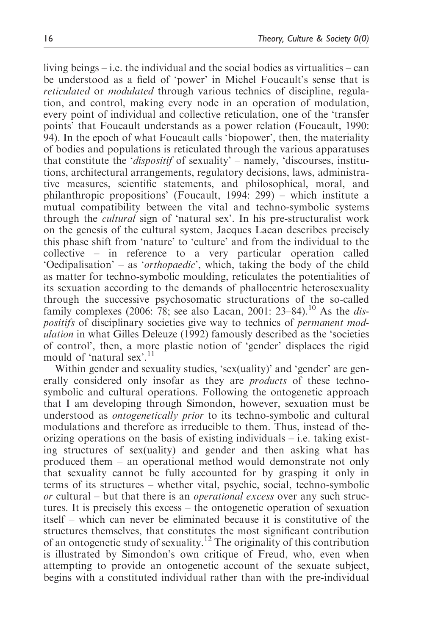living beings – i.e. the individual and the social bodies as virtualities – can be understood as a field of 'power' in Michel Foucault's sense that is reticulated or modulated through various technics of discipline, regulation, and control, making every node in an operation of modulation, every point of individual and collective reticulation, one of the 'transfer points' that Foucault understands as a power relation (Foucault, 1990: 94). In the epoch of what Foucault calls 'biopower', then, the materiality of bodies and populations is reticulated through the various apparatuses that constitute the 'dispositif of sexuality' – namely, 'discourses, institutions, architectural arrangements, regulatory decisions, laws, administrative measures, scientific statements, and philosophical, moral, and philanthropic propositions' (Foucault, 1994: 299) – which institute a mutual compatibility between the vital and techno-symbolic systems through the cultural sign of 'natural sex'. In his pre-structuralist work on the genesis of the cultural system, Jacques Lacan describes precisely this phase shift from 'nature' to 'culture' and from the individual to the collective – in reference to a very particular operation called 'Oedipalisation' – as 'orthopaedic', which, taking the body of the child as matter for techno-symbolic moulding, reticulates the potentialities of its sexuation according to the demands of phallocentric heterosexuality through the successive psychosomatic structurations of the so-called family complexes (2006: 78; see also Lacan, 2001: 23–84).<sup>10</sup> As the *dis*positifs of disciplinary societies give way to technics of *permanent mod*ulation in what Gilles Deleuze (1992) famously described as the 'societies of control', then, a more plastic notion of 'gender' displaces the rigid mould of 'natural sex'.<sup>11</sup>

Within gender and sexuality studies, 'sex(uality)' and 'gender' are generally considered only insofar as they are *products* of these technosymbolic and cultural operations. Following the ontogenetic approach that I am developing through Simondon, however, sexuation must be understood as ontogenetically prior to its techno-symbolic and cultural modulations and therefore as irreducible to them. Thus, instead of theorizing operations on the basis of existing individuals – i.e. taking existing structures of sex(uality) and gender and then asking what has produced them – an operational method would demonstrate not only that sexuality cannot be fully accounted for by grasping it only in terms of its structures – whether vital, psychic, social, techno-symbolic or cultural – but that there is an operational excess over any such structures. It is precisely this excess – the ontogenetic operation of sexuation itself – which can never be eliminated because it is constitutive of the structures themselves, that constitutes the most significant contribution of an ontogenetic study of sexuality.<sup>12</sup> The originality of this contribution is illustrated by Simondon's own critique of Freud, who, even when attempting to provide an ontogenetic account of the sexuate subject, begins with a constituted individual rather than with the pre-individual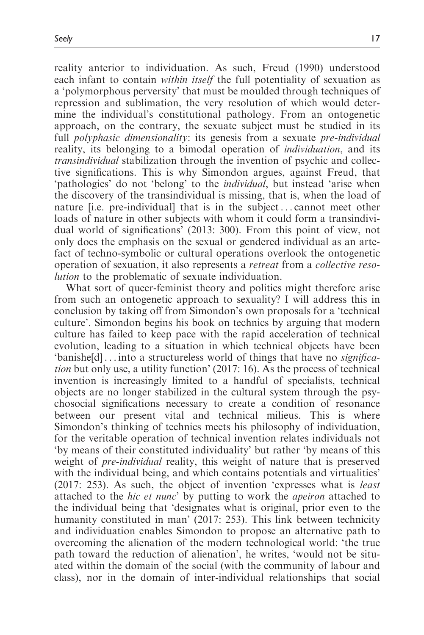reality anterior to individuation. As such, Freud (1990) understood each infant to contain *within itself* the full potentiality of sexuation as a 'polymorphous perversity' that must be moulded through techniques of repression and sublimation, the very resolution of which would determine the individual's constitutional pathology. From an ontogenetic approach, on the contrary, the sexuate subject must be studied in its full *polyphasic dimensionality*: its genesis from a sexuate *pre-individual* reality, its belonging to a bimodal operation of individuation, and its transindividual stabilization through the invention of psychic and collective significations. This is why Simondon argues, against Freud, that 'pathologies' do not 'belong' to the individual, but instead 'arise when the discovery of the transindividual is missing, that is, when the load of nature [i.e. pre-individual] that is in the subject ... cannot meet other loads of nature in other subjects with whom it could form a transindividual world of significations' (2013: 300). From this point of view, not only does the emphasis on the sexual or gendered individual as an artefact of techno-symbolic or cultural operations overlook the ontogenetic operation of sexuation, it also represents a retreat from a collective resolution to the problematic of sexuate individuation.

What sort of queer-feminist theory and politics might therefore arise from such an ontogenetic approach to sexuality? I will address this in conclusion by taking off from Simondon's own proposals for a 'technical culture'. Simondon begins his book on technics by arguing that modern culture has failed to keep pace with the rapid acceleration of technical evolution, leading to a situation in which technical objects have been 'banished]... into a structureless world of things that have no *significa*tion but only use, a utility function' (2017: 16). As the process of technical invention is increasingly limited to a handful of specialists, technical objects are no longer stabilized in the cultural system through the psychosocial significations necessary to create a condition of resonance between our present vital and technical milieus. This is where Simondon's thinking of technics meets his philosophy of individuation, for the veritable operation of technical invention relates individuals not 'by means of their constituted individuality' but rather 'by means of this weight of *pre-individual* reality, this weight of nature that is preserved with the individual being, and which contains potentials and virtualities' (2017: 253). As such, the object of invention 'expresses what is least attached to the *hic et nunc*' by putting to work the *apeiron* attached to the individual being that 'designates what is original, prior even to the humanity constituted in man' (2017: 253). This link between technicity and individuation enables Simondon to propose an alternative path to overcoming the alienation of the modern technological world: 'the true path toward the reduction of alienation', he writes, 'would not be situated within the domain of the social (with the community of labour and class), nor in the domain of inter-individual relationships that social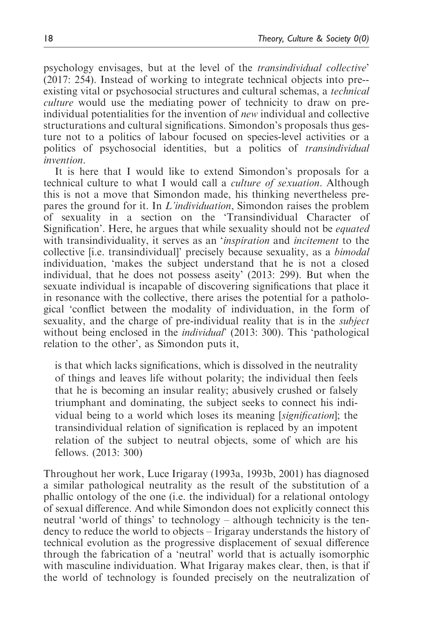psychology envisages, but at the level of the transindividual collective' (2017: 254). Instead of working to integrate technical objects into pre- existing vital or psychosocial structures and cultural schemas, a technical culture would use the mediating power of technicity to draw on preindividual potentialities for the invention of new individual and collective structurations and cultural significations. Simondon's proposals thus gesture not to a politics of labour focused on species-level activities or a politics of psychosocial identities, but a politics of transindividual invention.

It is here that I would like to extend Simondon's proposals for a technical culture to what I would call a culture of sexuation. Although this is not a move that Simondon made, his thinking nevertheless prepares the ground for it. In L'individuation, Simondon raises the problem of sexuality in a section on the 'Transindividual Character of Signification'. Here, he argues that while sexuality should not be equated with transindividuality, it serves as an *'inspiration* and *incitement* to the collective [i.e. transindividual]' precisely because sexuality, as a bimodal individuation, 'makes the subject understand that he is not a closed individual, that he does not possess aseity' (2013: 299). But when the sexuate individual is incapable of discovering significations that place it in resonance with the collective, there arises the potential for a pathological 'conflict between the modality of individuation, in the form of sexuality, and the charge of pre-individual reality that is in the subject without being enclosed in the *individual* (2013: 300). This 'pathological relation to the other', as Simondon puts it,

is that which lacks significations, which is dissolved in the neutrality of things and leaves life without polarity; the individual then feels that he is becoming an insular reality; abusively crushed or falsely triumphant and dominating, the subject seeks to connect his individual being to a world which loses its meaning [signification]; the transindividual relation of signification is replaced by an impotent relation of the subject to neutral objects, some of which are his fellows. (2013: 300)

Throughout her work, Luce Irigaray (1993a, 1993b, 2001) has diagnosed a similar pathological neutrality as the result of the substitution of a phallic ontology of the one (i.e. the individual) for a relational ontology of sexual difference. And while Simondon does not explicitly connect this neutral 'world of things' to technology – although technicity is the tendency to reduce the world to objects – Irigaray understands the history of technical evolution as the progressive displacement of sexual difference through the fabrication of a 'neutral' world that is actually isomorphic with masculine individuation. What Irigaray makes clear, then, is that if the world of technology is founded precisely on the neutralization of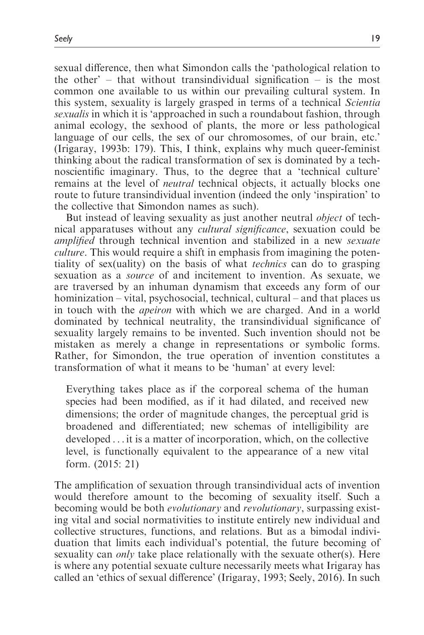sexual difference, then what Simondon calls the 'pathological relation to the other' – that without transindividual signification – is the most common one available to us within our prevailing cultural system. In this system, sexuality is largely grasped in terms of a technical Scientia sexualis in which it is 'approached in such a roundabout fashion, through animal ecology, the sexhood of plants, the more or less pathological language of our cells, the sex of our chromosomes, of our brain, etc.' (Irigaray, 1993b: 179). This, I think, explains why much queer-feminist thinking about the radical transformation of sex is dominated by a technoscientific imaginary. Thus, to the degree that a 'technical culture' remains at the level of neutral technical objects, it actually blocks one route to future transindividual invention (indeed the only 'inspiration' to the collective that Simondon names as such).

But instead of leaving sexuality as just another neutral *object* of technical apparatuses without any cultural significance, sexuation could be amplified through technical invention and stabilized in a new sexuate culture. This would require a shift in emphasis from imagining the potentiality of sex(uality) on the basis of what technics can do to grasping sexuation as a *source* of and incitement to invention. As sexuate, we are traversed by an inhuman dynamism that exceeds any form of our hominization – vital, psychosocial, technical, cultural – and that places us in touch with the apeiron with which we are charged. And in a world dominated by technical neutrality, the transindividual significance of sexuality largely remains to be invented. Such invention should not be mistaken as merely a change in representations or symbolic forms. Rather, for Simondon, the true operation of invention constitutes a transformation of what it means to be 'human' at every level:

Everything takes place as if the corporeal schema of the human species had been modified, as if it had dilated, and received new dimensions; the order of magnitude changes, the perceptual grid is broadened and differentiated; new schemas of intelligibility are developed ... it is a matter of incorporation, which, on the collective level, is functionally equivalent to the appearance of a new vital form. (2015: 21)

The amplification of sexuation through transindividual acts of invention would therefore amount to the becoming of sexuality itself. Such a becoming would be both evolutionary and revolutionary, surpassing existing vital and social normativities to institute entirely new individual and collective structures, functions, and relations. But as a bimodal individuation that limits each individual's potential, the future becoming of sexuality can *only* take place relationally with the sexuate other(s). Here is where any potential sexuate culture necessarily meets what Irigaray has called an 'ethics of sexual difference' (Irigaray, 1993; Seely, 2016). In such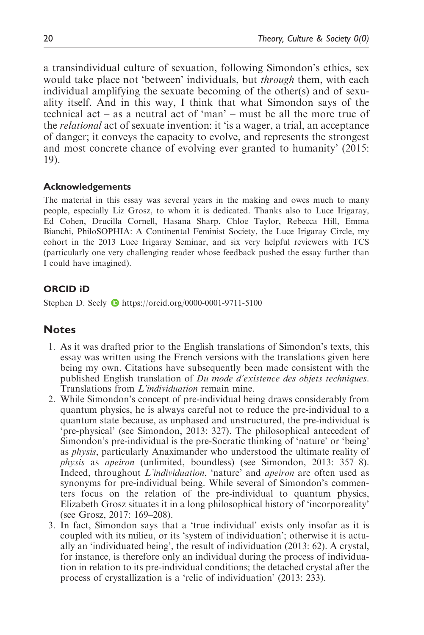a transindividual culture of sexuation, following Simondon's ethics, sex would take place not 'between' individuals, but through them, with each individual amplifying the sexuate becoming of the other(s) and of sexuality itself. And in this way, I think that what Simondon says of the technical act – as a neutral act of 'man' – must be all the more true of the *relational* act of sexuate invention: it 'is a wager, a trial, an acceptance of danger; it conveys the capacity to evolve, and represents the strongest and most concrete chance of evolving ever granted to humanity' (2015: 19).

#### Acknowledgements

The material in this essay was several years in the making and owes much to many people, especially Liz Grosz, to whom it is dedicated. Thanks also to Luce Irigaray, Ed Cohen, Drucilla Cornell, Hasana Sharp, Chloe Taylor, Rebecca Hill, Emma Bianchi, PhiloSOPHIA: A Continental Feminist Society, the Luce Irigaray Circle, my cohort in the 2013 Luce Irigaray Seminar, and six very helpful reviewers with TCS (particularly one very challenging reader whose feedback pushed the essay further than I could have imagined).

### ORCID iD

Stephen D. Seely **D** <https://orcid.org/0000-0001-9711-5100>

# **Notes**

- 1. As it was drafted prior to the English translations of Simondon's texts, this essay was written using the French versions with the translations given here being my own. Citations have subsequently been made consistent with the published English translation of Du mode d'existence des objets techniques. Translations from *L'individuation* remain mine.
- 2. While Simondon's concept of pre-individual being draws considerably from quantum physics, he is always careful not to reduce the pre-individual to a quantum state because, as unphased and unstructured, the pre-individual is 'pre-physical' (see Simondon, 2013: 327). The philosophical antecedent of Simondon's pre-individual is the pre-Socratic thinking of 'nature' or 'being' as physis, particularly Anaximander who understood the ultimate reality of physis as apeiron (unlimited, boundless) (see Simondon, 2013: 357–8). Indeed, throughout L'individuation, 'nature' and apeiron are often used as synonyms for pre-individual being. While several of Simondon's commenters focus on the relation of the pre-individual to quantum physics, Elizabeth Grosz situates it in a long philosophical history of 'incorporeality' (see Grosz, 2017: 169–208).
- 3. In fact, Simondon says that a 'true individual' exists only insofar as it is coupled with its milieu, or its 'system of individuation'; otherwise it is actually an 'individuated being', the result of individuation (2013: 62). A crystal, for instance, is therefore only an individual during the process of individuation in relation to its pre-individual conditions; the detached crystal after the process of crystallization is a 'relic of individuation' (2013: 233).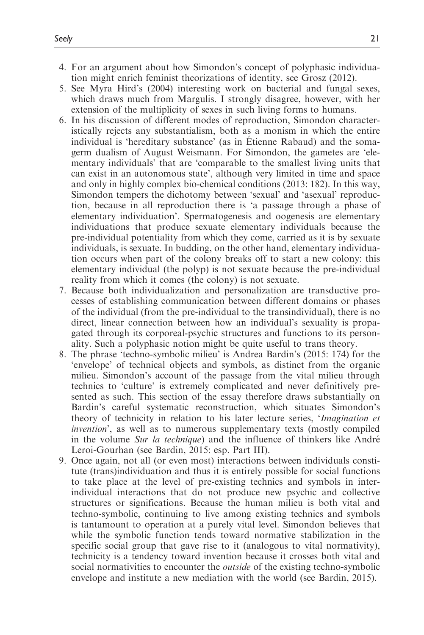- 4. For an argument about how Simondon's concept of polyphasic individuation might enrich feminist theorizations of identity, see Grosz (2012).
- 5. See Myra Hird's (2004) interesting work on bacterial and fungal sexes, which draws much from Margulis. I strongly disagree, however, with her extension of the multiplicity of sexes in such living forms to humans.
- 6. In his discussion of different modes of reproduction, Simondon characteristically rejects any substantialism, both as a monism in which the entire individual is 'hereditary substance' (as in Etienne Rabaud) and the somagerm dualism of August Weismann. For Simondon, the gametes are 'elementary individuals' that are 'comparable to the smallest living units that can exist in an autonomous state', although very limited in time and space and only in highly complex bio-chemical conditions (2013: 182). In this way, Simondon tempers the dichotomy between 'sexual' and 'asexual' reproduction, because in all reproduction there is 'a passage through a phase of elementary individuation'. Spermatogenesis and oogenesis are elementary individuations that produce sexuate elementary individuals because the pre-individual potentiality from which they come, carried as it is by sexuate individuals, is sexuate. In budding, on the other hand, elementary individuation occurs when part of the colony breaks off to start a new colony: this elementary individual (the polyp) is not sexuate because the pre-individual reality from which it comes (the colony) is not sexuate.
- 7. Because both individualization and personalization are transductive processes of establishing communication between different domains or phases of the individual (from the pre-individual to the transindividual), there is no direct, linear connection between how an individual's sexuality is propagated through its corporeal-psychic structures and functions to its personality. Such a polyphasic notion might be quite useful to trans theory.
- 8. The phrase 'techno-symbolic milieu' is Andrea Bardin's (2015: 174) for the 'envelope' of technical objects and symbols, as distinct from the organic milieu. Simondon's account of the passage from the vital milieu through technics to 'culture' is extremely complicated and never definitively presented as such. This section of the essay therefore draws substantially on Bardin's careful systematic reconstruction, which situates Simondon's theory of technicity in relation to his later lecture series, 'Imagination et invention', as well as to numerous supplementary texts (mostly compiled in the volume Sur la technique) and the influence of thinkers like André Leroi-Gourhan (see Bardin, 2015: esp. Part III).
- 9. Once again, not all (or even most) interactions between individuals constitute (trans)individuation and thus it is entirely possible for social functions to take place at the level of pre-existing technics and symbols in interindividual interactions that do not produce new psychic and collective structures or significations. Because the human milieu is both vital and techno-symbolic, continuing to live among existing technics and symbols is tantamount to operation at a purely vital level. Simondon believes that while the symbolic function tends toward normative stabilization in the specific social group that gave rise to it (analogous to vital normativity), technicity is a tendency toward invention because it crosses both vital and social normativities to encounter the outside of the existing techno-symbolic envelope and institute a new mediation with the world (see Bardin, 2015).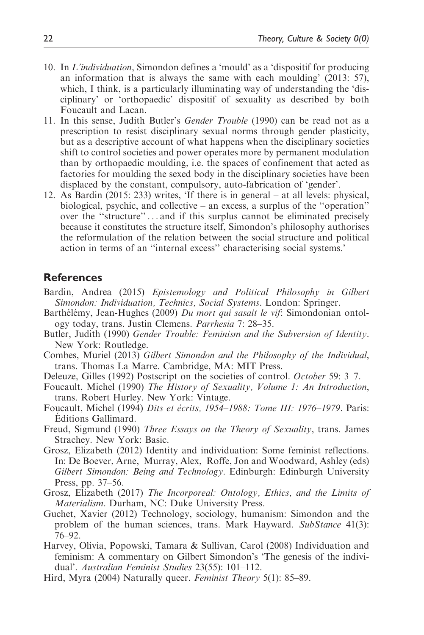- 10. In L'individuation, Simondon defines a 'mould' as a 'dispositif for producing an information that is always the same with each moulding' (2013: 57), which, I think, is a particularly illuminating way of understanding the 'disciplinary' or 'orthopaedic' dispositif of sexuality as described by both Foucault and Lacan.
- 11. In this sense, Judith Butler's Gender Trouble (1990) can be read not as a prescription to resist disciplinary sexual norms through gender plasticity, but as a descriptive account of what happens when the disciplinary societies shift to control societies and power operates more by permanent modulation than by orthopaedic moulding, i.e. the spaces of confinement that acted as factories for moulding the sexed body in the disciplinary societies have been displaced by the constant, compulsory, auto-fabrication of 'gender'.
- 12. As Bardin (2015: 233) writes, 'If there is in general at all levels: physical, biological, psychic, and collective – an excess, a surplus of the ''operation'' over the ''structure'' ... and if this surplus cannot be eliminated precisely because it constitutes the structure itself, Simondon's philosophy authorises the reformulation of the relation between the social structure and political action in terms of an ''internal excess'' characterising social systems.'

### **References**

- Bardin, Andrea (2015) Epistemology and Political Philosophy in Gilbert Simondon: Individuation, Technics, Social Systems. London: Springer.
- Barthélémy, Jean-Hughes (2009) Du mort qui sasait le vif: Simondonian ontology today, trans. Justin Clemens. Parrhesia 7: 28–35.
- Butler, Judith (1990) Gender Trouble: Feminism and the Subversion of Identity. New York: Routledge.
- Combes, Muriel (2013) Gilbert Simondon and the Philosophy of the Individual, trans. Thomas La Marre. Cambridge, MA: MIT Press.
- Deleuze, Gilles (1992) Postscript on the societies of control. October 59: 3–7.
- Foucault, Michel (1990) The History of Sexuality, Volume 1: An Introduction, trans. Robert Hurley. New York: Vintage.
- Foucault, Michel (1994) Dits et écrits, 1954–1988: Tome III: 1976–1979. Paris: Éditions Gallimard.
- Freud, Sigmund (1990) Three Essays on the Theory of Sexuality, trans. James Strachey. New York: Basic.
- Grosz, Elizabeth (2012) Identity and individuation: Some feminist reflections. In: De Boever, Arne, Murray, Alex, Roffe, Jon and Woodward, Ashley (eds) Gilbert Simondon: Being and Technology. Edinburgh: Edinburgh University Press, pp. 37–56.
- Grosz, Elizabeth (2017) The Incorporeal: Ontology, Ethics, and the Limits of Materialism. Durham, NC: Duke University Press.
- Guchet, Xavier (2012) Technology, sociology, humanism: Simondon and the problem of the human sciences, trans. Mark Hayward. SubStance 41(3): 76–92.
- Harvey, Olivia, Popowski, Tamara & Sullivan, Carol (2008) Individuation and feminism: A commentary on Gilbert Simondon's 'The genesis of the individual'. Australian Feminist Studies 23(55): 101–112.
- Hird, Myra (2004) Naturally queer. Feminist Theory 5(1): 85–89.